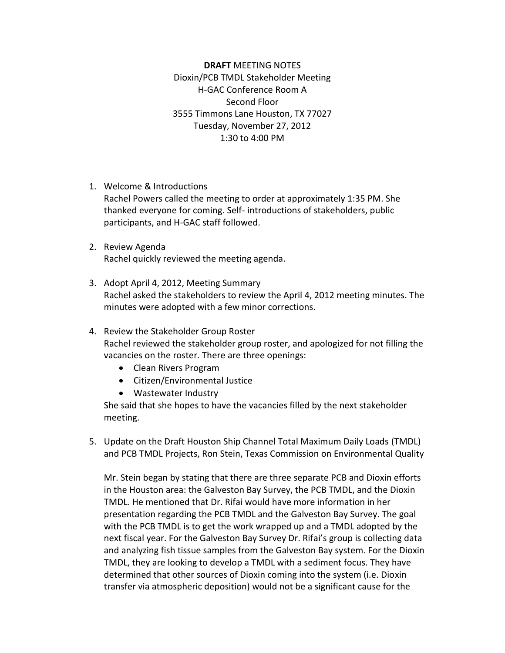**DRAFT** MEETING NOTES Dioxin/PCB TMDL Stakeholder Meeting H-GAC Conference Room A Second Floor 3555 Timmons Lane Houston, TX 77027 Tuesday, November 27, 2012 1:30 to 4:00 PM

1. Welcome & Introductions

Rachel Powers called the meeting to order at approximately 1:35 PM. She thanked everyone for coming. Self- introductions of stakeholders, public participants, and H-GAC staff followed.

- 2. Review Agenda Rachel quickly reviewed the meeting agenda.
- 3. Adopt April 4, 2012, Meeting Summary Rachel asked the stakeholders to review the April 4, 2012 meeting minutes. The minutes were adopted with a few minor corrections.
- 4. Review the Stakeholder Group Roster Rachel reviewed the stakeholder group roster, and apologized for not filling the vacancies on the roster. There are three openings:
	- Clean Rivers Program
	- Citizen/Environmental Justice
	- Wastewater Industry

She said that she hopes to have the vacancies filled by the next stakeholder meeting.

5. Update on the Draft Houston Ship Channel Total Maximum Daily Loads (TMDL) and PCB TMDL Projects, Ron Stein, Texas Commission on Environmental Quality

Mr. Stein began by stating that there are three separate PCB and Dioxin efforts in the Houston area: the Galveston Bay Survey, the PCB TMDL, and the Dioxin TMDL. He mentioned that Dr. Rifai would have more information in her presentation regarding the PCB TMDL and the Galveston Bay Survey. The goal with the PCB TMDL is to get the work wrapped up and a TMDL adopted by the next fiscal year. For the Galveston Bay Survey Dr. Rifai's group is collecting data and analyzing fish tissue samples from the Galveston Bay system. For the Dioxin TMDL, they are looking to develop a TMDL with a sediment focus. They have determined that other sources of Dioxin coming into the system (i.e. Dioxin transfer via atmospheric deposition) would not be a significant cause for the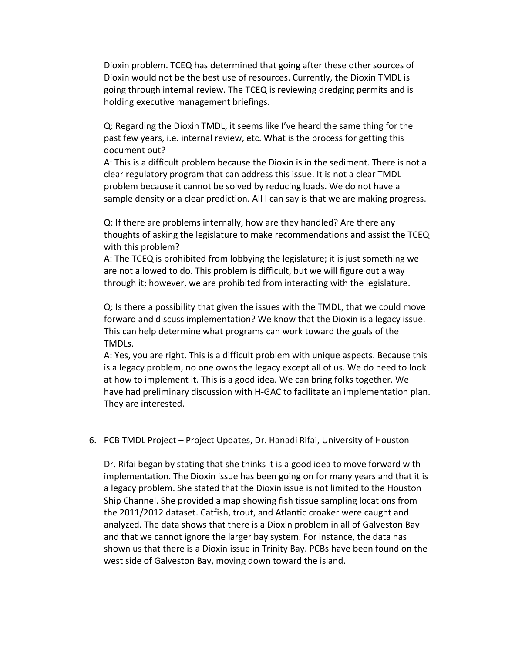Dioxin problem. TCEQ has determined that going after these other sources of Dioxin would not be the best use of resources. Currently, the Dioxin TMDL is going through internal review. The TCEQ is reviewing dredging permits and is holding executive management briefings.

Q: Regarding the Dioxin TMDL, it seems like I've heard the same thing for the past few years, i.e. internal review, etc. What is the process for getting this document out?

A: This is a difficult problem because the Dioxin is in the sediment. There is not a clear regulatory program that can address this issue. It is not a clear TMDL problem because it cannot be solved by reducing loads. We do not have a sample density or a clear prediction. All I can say is that we are making progress.

Q: If there are problems internally, how are they handled? Are there any thoughts of asking the legislature to make recommendations and assist the TCEQ with this problem?

A: The TCEQ is prohibited from lobbying the legislature; it is just something we are not allowed to do. This problem is difficult, but we will figure out a way through it; however, we are prohibited from interacting with the legislature.

Q: Is there a possibility that given the issues with the TMDL, that we could move forward and discuss implementation? We know that the Dioxin is a legacy issue. This can help determine what programs can work toward the goals of the TMDLs.

A: Yes, you are right. This is a difficult problem with unique aspects. Because this is a legacy problem, no one owns the legacy except all of us. We do need to look at how to implement it. This is a good idea. We can bring folks together. We have had preliminary discussion with H-GAC to facilitate an implementation plan. They are interested.

6. PCB TMDL Project – Project Updates, Dr. Hanadi Rifai, University of Houston

Dr. Rifai began by stating that she thinks it is a good idea to move forward with implementation. The Dioxin issue has been going on for many years and that it is a legacy problem. She stated that the Dioxin issue is not limited to the Houston Ship Channel. She provided a map showing fish tissue sampling locations from the 2011/2012 dataset. Catfish, trout, and Atlantic croaker were caught and analyzed. The data shows that there is a Dioxin problem in all of Galveston Bay and that we cannot ignore the larger bay system. For instance, the data has shown us that there is a Dioxin issue in Trinity Bay. PCBs have been found on the west side of Galveston Bay, moving down toward the island.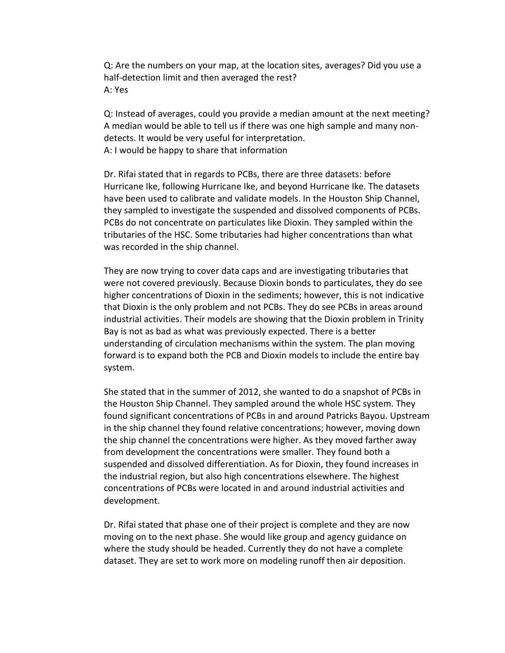Q: Are the numbers on your map, at the location sites, averages? Did you use a half-detection limit and then averaged the rest? A: Yes

Q: Instead of averages, could you provide a median amount at the next meeting? A median would be able to tell us if there was one high sample and many nondetects. It would be very useful for interpretation. A: I would be happy to share that information

Dr. Rifai stated that in regards to PCBs, there are three datasets: before Hurricane Ike, following Hurricane Ike, and beyond Hurricane Ike. The datasets have been used to calibrate and validate models. In the Houston Ship Channel, they sampled to investigate the suspended and dissolved components of PCBs. PCBs do not concentrate on particulates like Dioxin. They sampled within the tributaries of the HSC. Some tributaries had higher concentrations than what was recorded in the ship channel.

They are now trying to cover data caps and are investigating tributaries that were not covered previously. Because Dioxin bonds to particulates, they do see higher concentrations of Dioxin in the sediments; however, this is not indicative that Dioxin is the only problem and not PCBs. They do see PCBs in areas around industrial activities. Their models are showing that the Dioxin problem in Trinity Bay is not as bad as what was previously expected. There is a better understanding of circulation mechanisms within the system. The plan moving forward is to expand both the PCB and Dioxin models to include the entire bay system.

She stated that in the summer of 2012, she wanted to do a snapshot of PCBs in the Houston Ship Channel. They sampled around the whole HSC system. They found significant concentrations of PCBs in and around Patricks Bayou. Upstream in the ship channel they found relative concentrations; however, moving down the ship channel the concentrations were higher. As they moved farther away from development the concentrations were smaller. They found both a suspended and dissolved differentiation. As for Dioxin, they found increases in the industrial region, but also high concentrations elsewhere. The highest concentrations of PCBs were located in and around industrial activities and development.

Dr. Rifai stated that phase one of their project is complete and they are now moving on to the next phase. She would like group and agency guidance on where the study should be headed. Currently they do not have a complete dataset. They are set to work more on modeling runoff then air deposition.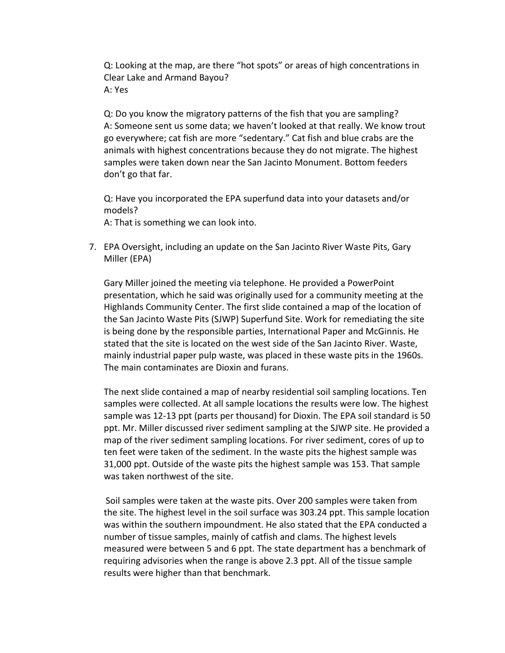Q: Looking at the map, are there "hot spots" or areas of high concentrations in Clear Lake and Armand Bayou? A: Yes

Q: Do you know the migratory patterns of the fish that you are sampling? A: Someone sent us some data; we haven't looked at that really. We know trout go everywhere; cat fish are more "sedentary." Cat fish and blue crabs are the animals with highest concentrations because they do not migrate. The highest samples were taken down near the San Jacinto Monument. Bottom feeders don't go that far.

Q: Have you incorporated the EPA superfund data into your datasets and/or models?

A: That is something we can look into.

7. EPA Oversight, including an update on the San Jacinto River Waste Pits, Gary Miller (EPA)

Gary Miller joined the meeting via telephone. He provided a PowerPoint presentation, which he said was originally used for a community meeting at the Highlands Community Center. The first slide contained a map of the location of the San Jacinto Waste Pits (SJWP) Superfund Site. Work for remediating the site is being done by the responsible parties, International Paper and McGinnis. He stated that the site is located on the west side of the San Jacinto River. Waste, mainly industrial paper pulp waste, was placed in these waste pits in the 1960s. The main contaminates are Dioxin and furans.

The next slide contained a map of nearby residential soil sampling locations. Ten samples were collected. At all sample locations the results were low. The highest sample was 12-13 ppt (parts per thousand) for Dioxin. The EPA soil standard is 50 ppt. Mr. Miller discussed river sediment sampling at the SJWP site. He provided a map of the river sediment sampling locations. For river sediment, cores of up to ten feet were taken of the sediment. In the waste pits the highest sample was 31,000 ppt. Outside of the waste pits the highest sample was 153. That sample was taken northwest of the site.

Soil samples were taken at the waste pits. Over 200 samples were taken from the site. The highest level in the soil surface was 303.24 ppt. This sample location was within the southern impoundment. He also stated that the EPA conducted a number of tissue samples, mainly of catfish and clams. The highest levels measured were between 5 and 6 ppt. The state department has a benchmark of requiring advisories when the range is above 2.3 ppt. All of the tissue sample results were higher than that benchmark.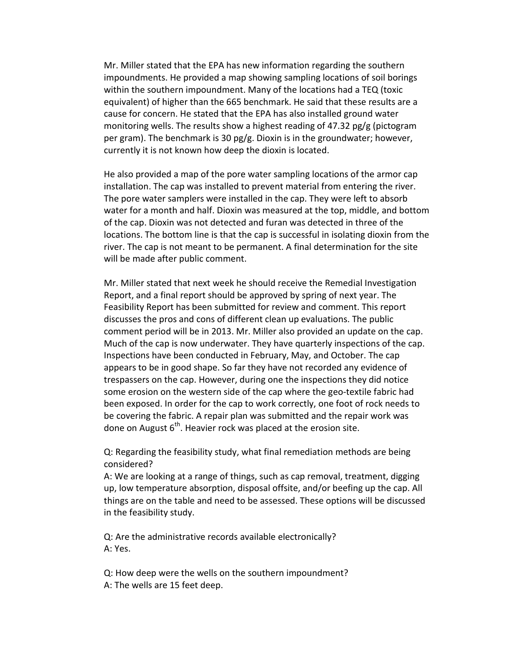Mr. Miller stated that the EPA has new information regarding the southern impoundments. He provided a map showing sampling locations of soil borings within the southern impoundment. Many of the locations had a TEQ (toxic equivalent) of higher than the 665 benchmark. He said that these results are a cause for concern. He stated that the EPA has also installed ground water monitoring wells. The results show a highest reading of 47.32 pg/g (pictogram per gram). The benchmark is 30 pg/g. Dioxin is in the groundwater; however, currently it is not known how deep the dioxin is located.

He also provided a map of the pore water sampling locations of the armor cap installation. The cap was installed to prevent material from entering the river. The pore water samplers were installed in the cap. They were left to absorb water for a month and half. Dioxin was measured at the top, middle, and bottom of the cap. Dioxin was not detected and furan was detected in three of the locations. The bottom line is that the cap is successful in isolating dioxin from the river. The cap is not meant to be permanent. A final determination for the site will be made after public comment.

Mr. Miller stated that next week he should receive the Remedial Investigation Report, and a final report should be approved by spring of next year. The Feasibility Report has been submitted for review and comment. This report discusses the pros and cons of different clean up evaluations. The public comment period will be in 2013. Mr. Miller also provided an update on the cap. Much of the cap is now underwater. They have quarterly inspections of the cap. Inspections have been conducted in February, May, and October. The cap appears to be in good shape. So far they have not recorded any evidence of trespassers on the cap. However, during one the inspections they did notice some erosion on the western side of the cap where the geo-textile fabric had been exposed. In order for the cap to work correctly, one foot of rock needs to be covering the fabric. A repair plan was submitted and the repair work was done on August  $6<sup>th</sup>$ . Heavier rock was placed at the erosion site.

Q: Regarding the feasibility study, what final remediation methods are being considered?

A: We are looking at a range of things, such as cap removal, treatment, digging up, low temperature absorption, disposal offsite, and/or beefing up the cap. All things are on the table and need to be assessed. These options will be discussed in the feasibility study.

Q: Are the administrative records available electronically? A: Yes.

Q: How deep were the wells on the southern impoundment? A: The wells are 15 feet deep.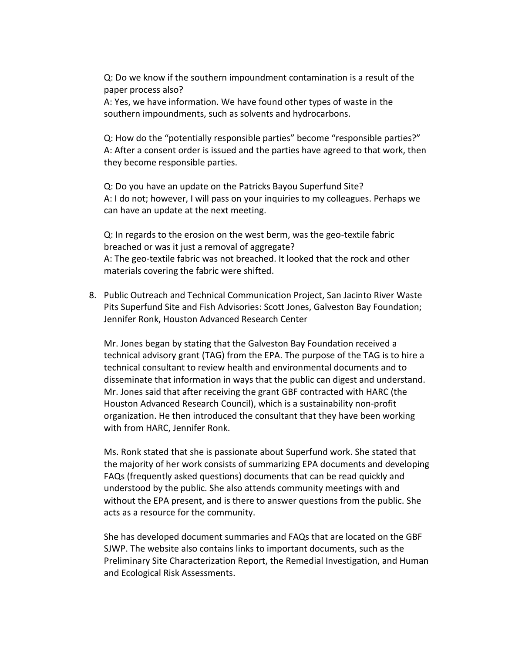Q: Do we know if the southern impoundment contamination is a result of the paper process also?

A: Yes, we have information. We have found other types of waste in the southern impoundments, such as solvents and hydrocarbons.

Q: How do the "potentially responsible parties" become "responsible parties?" A: After a consent order is issued and the parties have agreed to that work, then they become responsible parties.

Q: Do you have an update on the Patricks Bayou Superfund Site? A: I do not; however, I will pass on your inquiries to my colleagues. Perhaps we can have an update at the next meeting.

Q: In regards to the erosion on the west berm, was the geo-textile fabric breached or was it just a removal of aggregate? A: The geo-textile fabric was not breached. It looked that the rock and other materials covering the fabric were shifted.

8. Public Outreach and Technical Communication Project, San Jacinto River Waste Pits Superfund Site and Fish Advisories: Scott Jones, Galveston Bay Foundation; Jennifer Ronk, Houston Advanced Research Center

Mr. Jones began by stating that the Galveston Bay Foundation received a technical advisory grant (TAG) from the EPA. The purpose of the TAG is to hire a technical consultant to review health and environmental documents and to disseminate that information in ways that the public can digest and understand. Mr. Jones said that after receiving the grant GBF contracted with HARC (the Houston Advanced Research Council), which is a sustainability non-profit organization. He then introduced the consultant that they have been working with from HARC, Jennifer Ronk.

Ms. Ronk stated that she is passionate about Superfund work. She stated that the majority of her work consists of summarizing EPA documents and developing FAQs (frequently asked questions) documents that can be read quickly and understood by the public. She also attends community meetings with and without the EPA present, and is there to answer questions from the public. She acts as a resource for the community.

She has developed document summaries and FAQs that are located on the GBF SJWP. The website also contains links to important documents, such as the Preliminary Site Characterization Report, the Remedial Investigation, and Human and Ecological Risk Assessments.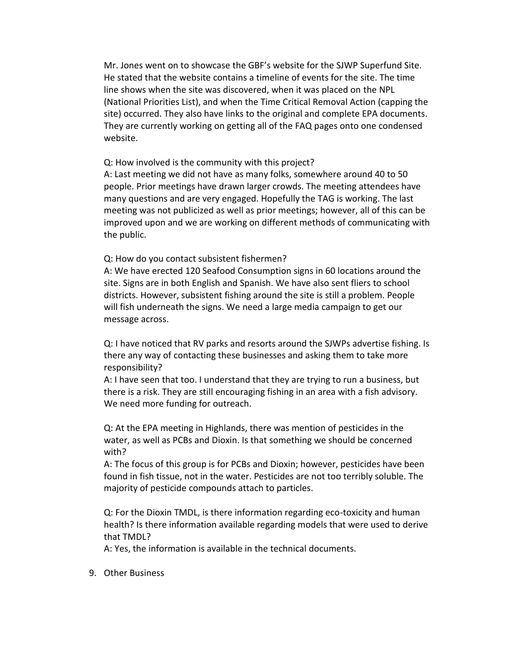Mr. Jones went on to showcase the GBF's website for the SJWP Superfund Site. He stated that the website contains a timeline of events for the site. The time line shows when the site was discovered, when it was placed on the NPL (National Priorities List), and when the Time Critical Removal Action (capping the site) occurred. They also have links to the original and complete EPA documents. They are currently working on getting all of the FAQ pages onto one condensed website.

Q: How involved is the community with this project?

A: Last meeting we did not have as many folks, somewhere around 40 to 50 people. Prior meetings have drawn larger crowds. The meeting attendees have many questions and are very engaged. Hopefully the TAG is working. The last meeting was not publicized as well as prior meetings; however, all of this can be improved upon and we are working on different methods of communicating with the public.

Q: How do you contact subsistent fishermen?

A: We have erected 120 Seafood Consumption signs in 60 locations around the site. Signs are in both English and Spanish. We have also sent fliers to school districts. However, subsistent fishing around the site is still a problem. People will fish underneath the signs. We need a large media campaign to get our message across.

Q: I have noticed that RV parks and resorts around the SJWPs advertise fishing. Is there any way of contacting these businesses and asking them to take more responsibility?

A: I have seen that too. I understand that they are trying to run a business, but there is a risk. They are still encouraging fishing in an area with a fish advisory. We need more funding for outreach.

Q: At the EPA meeting in Highlands, there was mention of pesticides in the water, as well as PCBs and Dioxin. Is that something we should be concerned with?

A: The focus of this group is for PCBs and Dioxin; however, pesticides have been found in fish tissue, not in the water. Pesticides are not too terribly soluble. The majority of pesticide compounds attach to particles.

Q: For the Dioxin TMDL, is there information regarding eco-toxicity and human health? Is there information available regarding models that were used to derive that TMDL?

A: Yes, the information is available in the technical documents.

9. Other Business